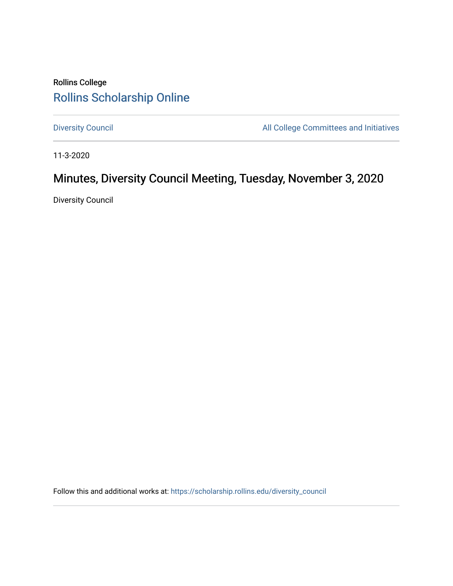## Rollins College [Rollins Scholarship Online](https://scholarship.rollins.edu/)

[Diversity Council](https://scholarship.rollins.edu/diversity_council) **All College Committees and Initiatives** 

11-3-2020

# Minutes, Diversity Council Meeting, Tuesday, November 3, 2020

Diversity Council

Follow this and additional works at: [https://scholarship.rollins.edu/diversity\\_council](https://scholarship.rollins.edu/diversity_council?utm_source=scholarship.rollins.edu%2Fdiversity_council%2F28&utm_medium=PDF&utm_campaign=PDFCoverPages)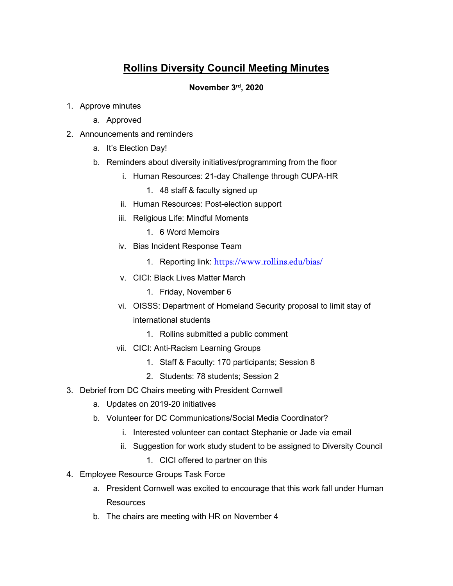### **Rollins Diversity Council Meeting Minutes**

#### **November 3rd, 2020**

- 1. Approve minutes
	- a. Approved
- 2. Announcements and reminders
	- a. It's Election Day!
	- b. Reminders about diversity initiatives/programming from the floor
		- i. Human Resources: 21-day Challenge through CUPA-HR
			- 1. 48 staff & faculty signed up
		- ii. Human Resources: Post-election support
		- iii. Religious Life: Mindful Moments
			- 1. 6 Word Memoirs
		- iv. Bias Incident Response Team
			- 1. Reporting link: <https://www.rollins.edu/bias/>
		- v. CICI: Black Lives Matter March
			- 1. Friday, November 6
		- vi. OISSS: Department of Homeland Security proposal to limit stay of international students
			- 1. Rollins submitted a public comment
		- vii. CICI: Anti-Racism Learning Groups
			- 1. Staff & Faculty: 170 participants; Session 8
			- 2. Students: 78 students; Session 2
- 3. Debrief from DC Chairs meeting with President Cornwell
	- a. Updates on 2019-20 initiatives
	- b. Volunteer for DC Communications/Social Media Coordinator?
		- i. Interested volunteer can contact Stephanie or Jade via email
		- ii. Suggestion for work study student to be assigned to Diversity Council
			- 1. CICI offered to partner on this
- 4. Employee Resource Groups Task Force
	- a. President Cornwell was excited to encourage that this work fall under Human **Resources**
	- b. The chairs are meeting with HR on November 4